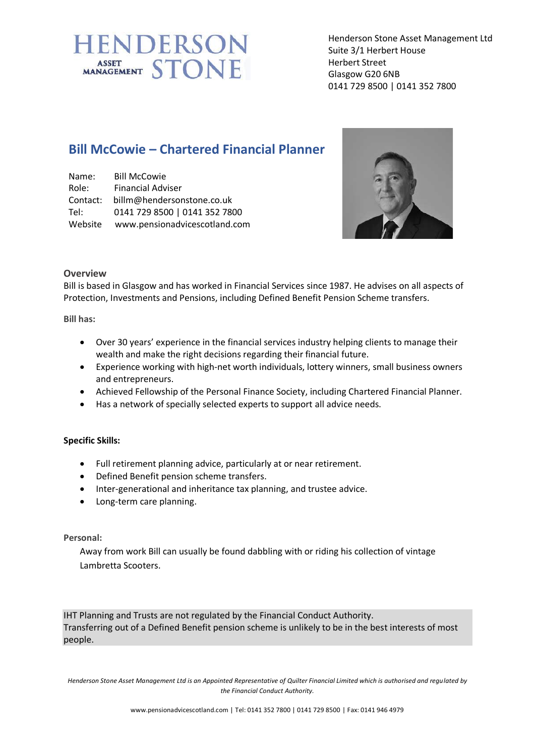# **IENDERSON** ASSET STONE

Henderson Stone Asset Management Ltd Suite 3/1 Herbert House Herbert Street Glasgow G20 6NB 0141 729 8500 | 0141 352 7800

# **Bill McCowie – Chartered Financial Planner**

| Name:    | <b>Bill McCowie</b>           |
|----------|-------------------------------|
| Role:    | <b>Financial Adviser</b>      |
| Contact: | billm@hendersonstone.co.uk    |
| Tel:     | 0141 729 8500   0141 352 7800 |
| Website  | www.pensionadvicescotland.com |



### **Overview**

Bill is based in Glasgow and has worked in Financial Services since 1987. He advises on all aspects of Protection, Investments and Pensions, including Defined Benefit Pension Scheme transfers.

**Bill has:**

- Over 30 years' experience in the financial services industry helping clients to manage their wealth and make the right decisions regarding their financial future.
- Experience working with high-net worth individuals, lottery winners, small business owners and entrepreneurs.
- Achieved Fellowship of the Personal Finance Society, including Chartered Financial Planner.
- Has a network of specially selected experts to support all advice needs.

### **Specific Skills:**

- Full retirement planning advice, particularly at or near retirement.
- Defined Benefit pension scheme transfers.
- Inter-generational and inheritance tax planning, and trustee advice.
- Long-term care planning.

### **Personal:**

Away from work Bill can usually be found dabbling with or riding his collection of vintage Lambretta Scooters.

IHT Planning and Trusts are not regulated by the Financial Conduct Authority. Transferring out of a Defined Benefit pension scheme is unlikely to be in the best interests of most people.

*Henderson Stone Asset Management Ltd is an Appointed Representative of Quilter Financial Limited which is authorised and regulated by the Financial Conduct Authority.*